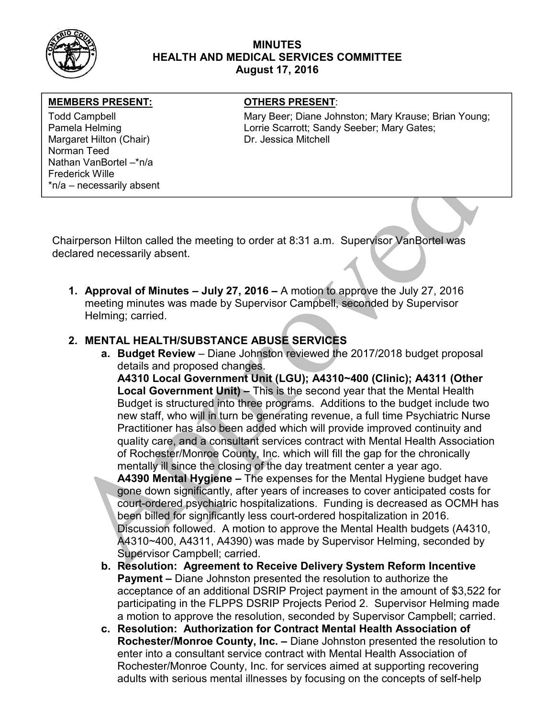

## MINUTES HEALTH AND MEDICAL SERVICES COMMITTEE August 17, 2016

### MEMBERS PRESENT: OTHERS PRESENT:

Margaret Hilton (Chair) Dr. Jessica Mitchell Norman Teed Nathan VanBortel –\*n/a Frederick Wille \*n/a – necessarily absent

Todd Campbell **Mary Beer; Diane Johnston; Mary Krause**; Brian Young; Mary Krause; Brian Young; Pamela Helming **Lorrie Scarrott: Sandy Seeber**; Mary Gates;

Chairperson Hilton called the meeting to order at 8:31 a.m. Supervisor VanBortel was declared necessarily absent.

1. Approval of Minutes – July 27, 2016 – A motion to approve the July 27, 2016 meeting minutes was made by Supervisor Campbell, seconded by Supervisor Helming; carried.

## 2. MENTAL HEALTH/SUBSTANCE ABUSE SERVICES

a. Budget Review – Diane Johnston reviewed the 2017/2018 budget proposal details and proposed changes.

A4310 Local Government Unit (LGU); A4310~400 (Clinic); A4311 (Other Local Government Unit) – This is the second year that the Mental Health Budget is structured into three programs. Additions to the budget include two new staff, who will in turn be generating revenue, a full time Psychiatric Nurse Practitioner has also been added which will provide improved continuity and quality care, and a consultant services contract with Mental Health Association of Rochester/Monroe County, Inc. which will fill the gap for the chronically mentally ill since the closing of the day treatment center a year ago.

A4390 Mental Hygiene – The expenses for the Mental Hygiene budget have gone down significantly, after years of increases to cover anticipated costs for court-ordered psychiatric hospitalizations. Funding is decreased as OCMH has been billed for significantly less court-ordered hospitalization in 2016. Discussion followed. A motion to approve the Mental Health budgets (A4310, A4310~400, A4311, A4390) was made by Supervisor Helming, seconded by Supervisor Campbell; carried.

- b. Resolution: Agreement to Receive Delivery System Reform Incentive Payment – Diane Johnston presented the resolution to authorize the acceptance of an additional DSRIP Project payment in the amount of \$3,522 for participating in the FLPPS DSRIP Projects Period 2. Supervisor Helming made a motion to approve the resolution, seconded by Supervisor Campbell; carried.
- c. Resolution: Authorization for Contract Mental Health Association of Rochester/Monroe County, Inc. – Diane Johnston presented the resolution to enter into a consultant service contract with Mental Health Association of Rochester/Monroe County, Inc. for services aimed at supporting recovering adults with serious mental illnesses by focusing on the concepts of self-help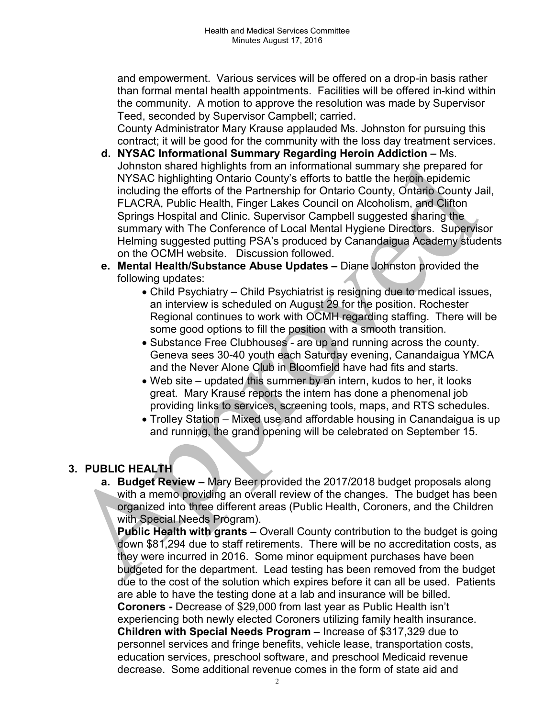and empowerment. Various services will be offered on a drop-in basis rather than formal mental health appointments. Facilities will be offered in-kind within the community. A motion to approve the resolution was made by Supervisor Teed, seconded by Supervisor Campbell; carried.

County Administrator Mary Krause applauded Ms. Johnston for pursuing this contract; it will be good for the community with the loss day treatment services.

- d. NYSAC Informational Summary Regarding Heroin Addiction Ms. Johnston shared highlights from an informational summary she prepared for NYSAC highlighting Ontario County's efforts to battle the heroin epidemic including the efforts of the Partnership for Ontario County, Ontario County Jail, FLACRA, Public Health, Finger Lakes Council on Alcoholism, and Clifton Springs Hospital and Clinic. Supervisor Campbell suggested sharing the summary with The Conference of Local Mental Hygiene Directors. Supervisor Helming suggested putting PSA's produced by Canandaigua Academy students on the OCMH website. Discussion followed.
- e. Mental Health/Substance Abuse Updates Diane Johnston provided the following updates:
	- Child Psychiatry Child Psychiatrist is resigning due to medical issues, an interview is scheduled on August 29 for the position. Rochester Regional continues to work with OCMH regarding staffing. There will be some good options to fill the position with a smooth transition.
	- Substance Free Clubhouses are up and running across the county. Geneva sees 30-40 youth each Saturday evening, Canandaigua YMCA and the Never Alone Club in Bloomfield have had fits and starts.
	- Web site updated this summer by an intern, kudos to her, it looks great. Mary Krause reports the intern has done a phenomenal job providing links to services, screening tools, maps, and RTS schedules.
	- Trolley Station Mixed use and affordable housing in Canandaigua is up and running, the grand opening will be celebrated on September 15.

# 3. PUBLIC HEALTH

a. Budget Review – Mary Beer provided the 2017/2018 budget proposals along with a memo providing an overall review of the changes. The budget has been organized into three different areas (Public Health, Coroners, and the Children with Special Needs Program).

**Public Health with grants –** Overall County contribution to the budget is going down \$81,294 due to staff retirements. There will be no accreditation costs, as they were incurred in 2016. Some minor equipment purchases have been budgeted for the department. Lead testing has been removed from the budget due to the cost of the solution which expires before it can all be used. Patients are able to have the testing done at a lab and insurance will be billed. Coroners - Decrease of \$29,000 from last year as Public Health isn't experiencing both newly elected Coroners utilizing family health insurance. Children with Special Needs Program – Increase of \$317,329 due to personnel services and fringe benefits, vehicle lease, transportation costs, education services, preschool software, and preschool Medicaid revenue decrease. Some additional revenue comes in the form of state aid and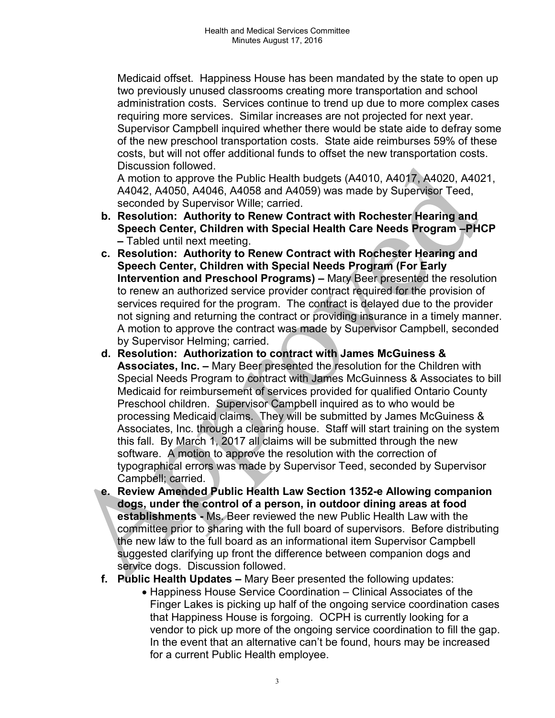Medicaid offset. Happiness House has been mandated by the state to open up two previously unused classrooms creating more transportation and school administration costs. Services continue to trend up due to more complex cases requiring more services. Similar increases are not projected for next year. Supervisor Campbell inquired whether there would be state aide to defray some of the new preschool transportation costs. State aide reimburses 59% of these costs, but will not offer additional funds to offset the new transportation costs. Discussion followed.

A motion to approve the Public Health budgets (A4010, A4017, A4020, A4021, A4042, A4050, A4046, A4058 and A4059) was made by Supervisor Teed, seconded by Supervisor Wille; carried.

- b. Resolution: Authority to Renew Contract with Rochester Hearing and Speech Center, Children with Special Health Care Needs Program –PHCP – Tabled until next meeting.
- c. Resolution: Authority to Renew Contract with Rochester Hearing and Speech Center, Children with Special Needs Program (For Early Intervention and Preschool Programs) – Mary Beer presented the resolution to renew an authorized service provider contract required for the provision of services required for the program. The contract is delayed due to the provider not signing and returning the contract or providing insurance in a timely manner. A motion to approve the contract was made by Supervisor Campbell, seconded by Supervisor Helming; carried.
- d. Resolution: Authorization to contract with James McGuiness & Associates, Inc. – Mary Beer presented the resolution for the Children with Special Needs Program to contract with James McGuinness & Associates to bill Medicaid for reimbursement of services provided for qualified Ontario County Preschool children. Supervisor Campbell inquired as to who would be processing Medicaid claims. They will be submitted by James McGuiness & Associates, Inc. through a clearing house. Staff will start training on the system this fall. By March 1, 2017 all claims will be submitted through the new software. A motion to approve the resolution with the correction of typographical errors was made by Supervisor Teed, seconded by Supervisor Campbell; carried.
- e. Review Amended Public Health Law Section 1352-e Allowing companion dogs, under the control of a person, in outdoor dining areas at food establishments - Ms. Beer reviewed the new Public Health Law with the committee prior to sharing with the full board of supervisors. Before distributing the new law to the full board as an informational item Supervisor Campbell suggested clarifying up front the difference between companion dogs and service dogs. Discussion followed.
- f. Public Health Updates Mary Beer presented the following updates:
	- Happiness House Service Coordination Clinical Associates of the Finger Lakes is picking up half of the ongoing service coordination cases that Happiness House is forgoing. OCPH is currently looking for a vendor to pick up more of the ongoing service coordination to fill the gap. In the event that an alternative can't be found, hours may be increased for a current Public Health employee.